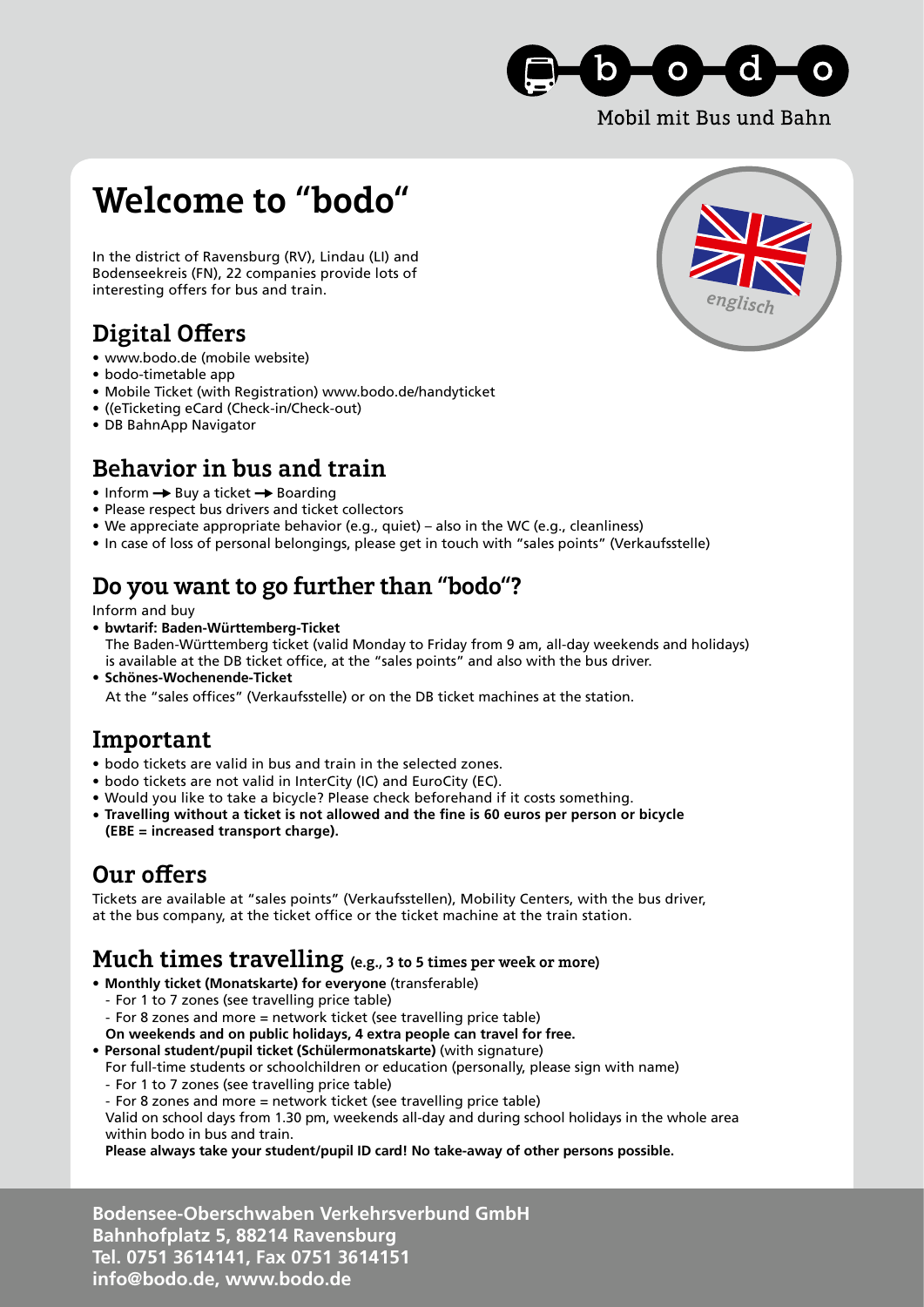

# **Welcome to "bodo"**

In the district of Ravensburg (RV), Lindau (LI) and Bodenseekreis (FN), 22 companies provide lots of interesting offers for bus and train.

# **Digital Offers**

- www.bodo.de (mobile website)
- bodo-timetable app
- Mobile Ticket (with Registration) www.bodo.de/handyticket
- ((eTicketing eCard (Check-in/Check-out)
- DB BahnApp Navigator

#### **Behavior in bus and train**

- Inform  $\rightarrow$  Buy a ticket  $\rightarrow$  Boarding
- Please respect bus drivers and ticket collectors
- We appreciate appropriate behavior (e.g., quiet) also in the WC (e.g., cleanliness)
- In case of loss of personal belongings, please get in touch with "sales points" (Verkaufsstelle)

# **Do you want to go further than "bodo"?**

Inform and buy

- **bwtarif: Baden-Württemberg-Ticket**  The Baden-Württemberg ticket (valid Monday to Friday from 9 am, all-day weekends and holidays) is available at the DB ticket office, at the "sales points" and also with the bus driver.
- **Schönes-Wochenende-Ticket** At the "sales offices" (Verkaufsstelle) or on the DB ticket machines at the station.

### **Important**

- bodo tickets are valid in bus and train in the selected zones.
- bodo tickets are not valid in InterCity (IC) and EuroCity (EC).
- Would you like to take a bicycle? Please check beforehand if it costs something.
- **Travelling without a ticket is not allowed and the fine is 60 euros per person or bicycle (EBE = increased transport charge).**

#### **Our offers**

Tickets are available at "sales points" (Verkaufsstellen), Mobility Centers, with the bus driver, at the bus company, at the ticket office or the ticket machine at the train station.

#### **Much times travelling (e.g., 3 to 5 times per week or more)**

- **• Monthly ticket (Monatskarte) for everyone** (transferable)
	- For 1 to 7 zones (see travelling price table)
	- For 8 zones and more = network ticket (see travelling price table)
- **On weekends and on public holidays, 4 extra people can travel for free.**
- **• Personal student/pupil ticket (Schülermonatskarte)** (with signature)

For full-time students or schoolchildren or education (personally, please sign with name) - For 1 to 7 zones (see travelling price table)

- For 8 zones and more = network ticket (see travelling price table)

Valid on school days from 1.30 pm, weekends all-day and during school holidays in the whole area within bodo in bus and train.

**Please always take your student/pupil ID card! No take-away of other persons possible.**

**Bodensee-Oberschwaben Verkehrsverbund GmbH Bahnhofplatz 5, 88214 Ravensburg Tel. 0751 3614141, Fax 0751 3614151 info@bodo.de, www.bodo.de**